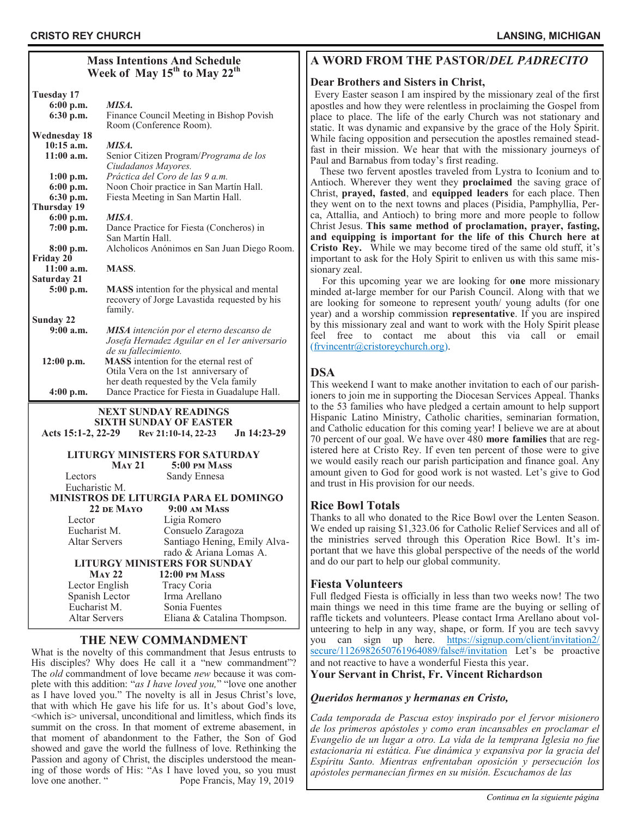| <b>Mass Intentions And Schedule</b><br>Week of May 15 <sup>th</sup> to May 22 <sup>th</sup>                              |                                                              |  |  |
|--------------------------------------------------------------------------------------------------------------------------|--------------------------------------------------------------|--|--|
| Tuesday 17                                                                                                               |                                                              |  |  |
| $6:00$ p.m.                                                                                                              | MISA.                                                        |  |  |
| 6:30 p.m.                                                                                                                | Finance Council Meeting in Bishop Povish                     |  |  |
|                                                                                                                          | Room (Conference Room).                                      |  |  |
| <b>Wednesday 18</b><br>$10:15$ a.m.                                                                                      | MISA.                                                        |  |  |
| $11:00$ a.m.                                                                                                             | Senior Citizen Program/Programa de los                       |  |  |
|                                                                                                                          | Ciudadanos Mayores.                                          |  |  |
| $1:00$ p.m.                                                                                                              | Práctica del Coro de las 9 a.m.                              |  |  |
| 6:00 p.m.                                                                                                                | Noon Choir practice in San Martín Hall.                      |  |  |
| 6:30 p.m.                                                                                                                | Fiesta Meeting in San Martin Hall.                           |  |  |
| Thursday 19                                                                                                              |                                                              |  |  |
| 6:00 p.m.                                                                                                                | MISA.                                                        |  |  |
| $7:00$ p.m.                                                                                                              | Dance Practice for Fiesta (Concheros) in<br>San Martín Hall. |  |  |
| 8:00 p.m.                                                                                                                | Alcholicos Anónimos en San Juan Diego Room.                  |  |  |
| Friday 20                                                                                                                |                                                              |  |  |
| $11:00$ a.m.                                                                                                             | <b>MASS</b>                                                  |  |  |
| <b>Saturday 21</b>                                                                                                       |                                                              |  |  |
| $5:00$ p.m.                                                                                                              | <b>MASS</b> intention for the physical and mental            |  |  |
|                                                                                                                          | recovery of Jorge Lavastida requested by his                 |  |  |
| Sunday 22                                                                                                                | family.                                                      |  |  |
| $9:00$ a.m.                                                                                                              | MISA intención por el eterno descanso de                     |  |  |
|                                                                                                                          | Josefa Hernadez Aguilar en el 1 er aniversario               |  |  |
|                                                                                                                          | de su fallecimiento.                                         |  |  |
| $12:00$ p.m.                                                                                                             | <b>MASS</b> intention for the eternal rest of                |  |  |
|                                                                                                                          | Otila Vera on the 1st anniversary of                         |  |  |
|                                                                                                                          | her death requested by the Vela family                       |  |  |
| $4:00$ p.m.                                                                                                              | Dance Practice for Fiesta in Guadalupe Hall.                 |  |  |
| <b>NEXT SUNDAY READINGS</b><br><b>SIXTH SUNDAY OF EASTER</b><br>Acts 15:1-2, 22-29<br>Jn 14:23-29<br>Rev 21:10-14, 22-23 |                                                              |  |  |
|                                                                                                                          | <b>LITURGY MINISTERS FOR SATURDAY</b>                        |  |  |
|                                                                                                                          | <b>MAY 21</b><br>5:00 PM MASS                                |  |  |
| Lectors                                                                                                                  | Sandy Ennesa                                                 |  |  |
| Eucharistic M.                                                                                                           | MINISTROS DE LITURGIA PARA EL DOMINGO                        |  |  |
|                                                                                                                          | 22 DE MAYO<br>$9:00$ AM MASS                                 |  |  |
| Lector                                                                                                                   | Ligia Romero                                                 |  |  |
| Eucharist M.                                                                                                             | Consuelo Zaragoza                                            |  |  |
| <b>Altar Servers</b>                                                                                                     | Santiago Hening, Emily Alva-                                 |  |  |
| rado & Ariana Lomas A.                                                                                                   |                                                              |  |  |
| <b>LITURGY MINISTERS FOR SUNDAY</b>                                                                                      |                                                              |  |  |
| <b>MAY 22</b><br><b>12:00 PM MASS</b>                                                                                    |                                                              |  |  |
| Lector English<br>Tracy Coria                                                                                            |                                                              |  |  |
| Spanish Lector                                                                                                           | Irma Arellano                                                |  |  |
| Eucharist M.                                                                                                             | Sonia Fuentes                                                |  |  |

## **THE NEW COMMANDMENT**

Altar Servers Eliana & Catalina Thompson.

What is the novelty of this commandment that Jesus entrusts to His disciples? Why does He call it a "new commandment"? The *old* commandment of love became *new* because it was complete with this addition: "*as I have loved you,*" "love one another as I have loved you." The novelty is all in Jesus Christ's love, that with which He gave his life for us. It's about God's love, <which is> universal, unconditional and limitless, which finds its summit on the cross. In that moment of extreme abasement, in that moment of abandonment to the Father, the Son of God showed and gave the world the fullness of love. Rethinking the Passion and agony of Christ, the disciples understood the meaning of those words of His: "As I have loved you, so you must love one another. " Pope Francis, May 19, 2019

# **A WORD FROM THE PASTOR/***DEL PADRECITO*

## **Dear Brothers and Sisters in Christ,**

Every Easter season I am inspired by the missionary zeal of the first apostles and how they were relentless in proclaiming the Gospel from place to place. The life of the early Church was not stationary and static. It was dynamic and expansive by the grace of the Holy Spirit. While facing opposition and persecution the apostles remained steadfast in their mission. We hear that with the missionary journeys of Paul and Barnabus from today's first reading.

 These two fervent apostles traveled from Lystra to Iconium and to Antioch. Wherever they went they **proclaimed** the saving grace of Christ, **prayed, fasted**, and **equipped leaders** for each place. Then they went on to the next towns and places (Pisidia, Pamphyllia, Perca, Attallia, and Antioch) to bring more and more people to follow Christ Jesus. **This same method of proclamation, prayer, fasting, and equipping is important for the life of this Church here at Cristo Rey.** While we may become tired of the same old stuff, it's important to ask for the Holy Spirit to enliven us with this same missionary zeal.

 For this upcoming year we are looking for **one** more missionary minded at-large member for our Parish Council. Along with that we are looking for someone to represent youth/ young adults (for one year) and a worship commission **representative**. If you are inspired by this missionary zeal and want to work with the Holy Spirit please feel free to contact me about this via call or email [\(frvincentr@cristoreychurch.org\)](mailto:frvincentr@cristoreychurch.org).

# **DSA**

This weekend I want to make another invitation to each of our parishioners to join me in supporting the Diocesan Services Appeal. Thanks to the 53 families who have pledged a certain amount to help support Hispanic Latino Ministry, Catholic charities, seminarian formation, and Catholic education for this coming year! I believe we are at about 70 percent of our goal. We have over 480 **more families** that are registered here at Cristo Rey. If even ten percent of those were to give we would easily reach our parish participation and finance goal. Any amount given to God for good work is not wasted. Let's give to God and trust in His provision for our needs.

## **Rice Bowl Totals**

Thanks to all who donated to the Rice Bowl over the Lenten Season. We ended up raising \$1,323.06 for Catholic Relief Services and all of the ministries served through this Operation Rice Bowl. It's important that we have this global perspective of the needs of the world and do our part to help our global community.

### **Fiesta Volunteers**

Full fledged Fiesta is officially in less than two weeks now! The two main things we need in this time frame are the buying or selling of raffle tickets and volunteers. Please contact Irma Arellano about volunteering to help in any way, shape, or form. If you are tech savvy you can sign up here. [https://signup.com/client/invitation2/](https://signup.com/client/invitation2/secure/1126982650761964089/false#/invitation) [secure/1126982650761964089/false#/invitation](https://signup.com/client/invitation2/secure/1126982650761964089/false#/invitation) Let's be proactive and not reactive to have a wonderful Fiesta this year.

**Your Servant in Christ, Fr. Vincent Richardson** 

### *Queridos hermanos y hermanas en Cristo,*

*Cada temporada de Pascua estoy inspirado por el fervor misionero de los primeros apóstoles y como eran incansables en proclamar el Evangelio de un lugar a otro. La vida de la temprana Iglesia no fue estacionaria ni estática. Fue dinámica y expansiva por la gracia del Espíritu Santo. Mientras enfrentaban oposición y persecución los apóstoles permanecían firmes en su misión. Escuchamos de las*